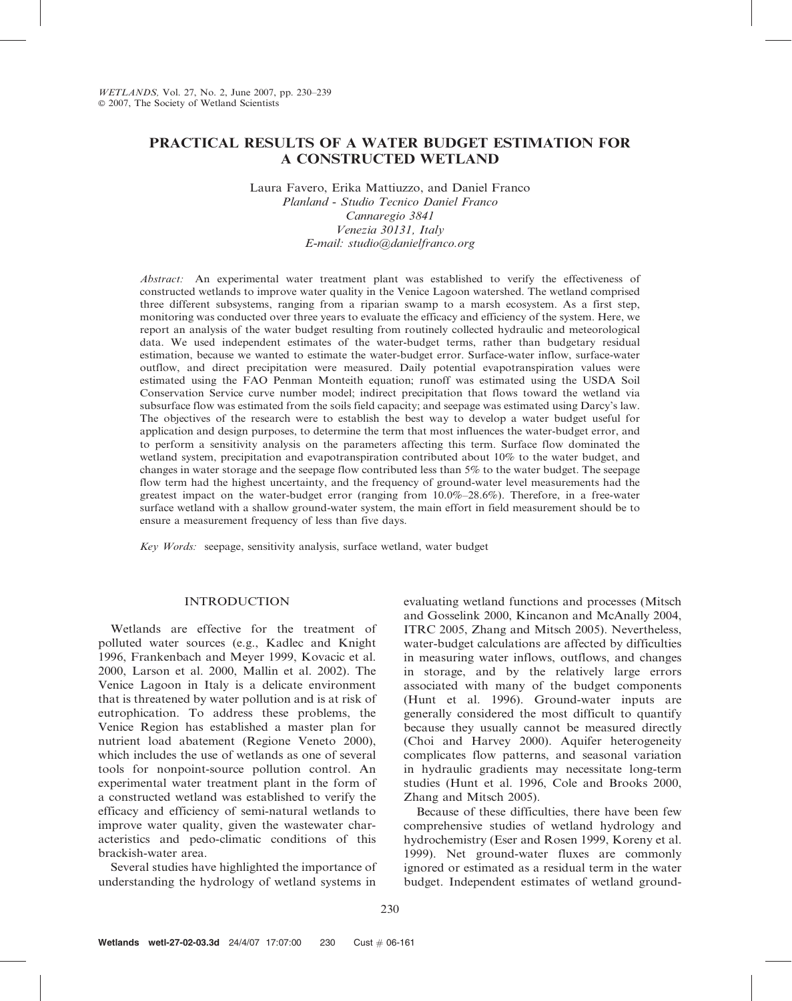# PRACTICAL RESULTS OF A WATER BUDGET ESTIMATION FOR A CONSTRUCTED WETLAND

Laura Favero, Erika Mattiuzzo, and Daniel Franco Planland - Studio Tecnico Daniel Franco Cannaregio 3841 Venezia 30131, Italy E-mail: studio@danielfranco.org

Abstract: An experimental water treatment plant was established to verify the effectiveness of constructed wetlands to improve water quality in the Venice Lagoon watershed. The wetland comprised three different subsystems, ranging from a riparian swamp to a marsh ecosystem. As a first step, monitoring was conducted over three years to evaluate the efficacy and efficiency of the system. Here, we report an analysis of the water budget resulting from routinely collected hydraulic and meteorological data. We used independent estimates of the water-budget terms, rather than budgetary residual estimation, because we wanted to estimate the water-budget error. Surface-water inflow, surface-water outflow, and direct precipitation were measured. Daily potential evapotranspiration values were estimated using the FAO Penman Monteith equation; runoff was estimated using the USDA Soil Conservation Service curve number model; indirect precipitation that flows toward the wetland via subsurface flow was estimated from the soils field capacity; and seepage was estimated using Darcy's law. The objectives of the research were to establish the best way to develop a water budget useful for application and design purposes, to determine the term that most influences the water-budget error, and to perform a sensitivity analysis on the parameters affecting this term. Surface flow dominated the wetland system, precipitation and evapotranspiration contributed about 10% to the water budget, and changes in water storage and the seepage flow contributed less than 5% to the water budget. The seepage flow term had the highest uncertainty, and the frequency of ground-water level measurements had the greatest impact on the water-budget error (ranging from 10.0%–28.6%). Therefore, in a free-water surface wetland with a shallow ground-water system, the main effort in field measurement should be to ensure a measurement frequency of less than five days.

Key Words: seepage, sensitivity analysis, surface wetland, water budget

# INTRODUCTION

Wetlands are effective for the treatment of polluted water sources (e.g., Kadlec and Knight 1996, Frankenbach and Meyer 1999, Kovacic et al. 2000, Larson et al. 2000, Mallin et al. 2002). The Venice Lagoon in Italy is a delicate environment that is threatened by water pollution and is at risk of eutrophication. To address these problems, the Venice Region has established a master plan for nutrient load abatement (Regione Veneto 2000), which includes the use of wetlands as one of several tools for nonpoint-source pollution control. An experimental water treatment plant in the form of a constructed wetland was established to verify the efficacy and efficiency of semi-natural wetlands to improve water quality, given the wastewater characteristics and pedo-climatic conditions of this brackish-water area.

Several studies have highlighted the importance of understanding the hydrology of wetland systems in evaluating wetland functions and processes (Mitsch and Gosselink 2000, Kincanon and McAnally 2004, ITRC 2005, Zhang and Mitsch 2005). Nevertheless, water-budget calculations are affected by difficulties in measuring water inflows, outflows, and changes in storage, and by the relatively large errors associated with many of the budget components (Hunt et al. 1996). Ground-water inputs are generally considered the most difficult to quantify because they usually cannot be measured directly (Choi and Harvey 2000). Aquifer heterogeneity complicates flow patterns, and seasonal variation in hydraulic gradients may necessitate long-term studies (Hunt et al. 1996, Cole and Brooks 2000, Zhang and Mitsch 2005).

Because of these difficulties, there have been few comprehensive studies of wetland hydrology and hydrochemistry (Eser and Rosen 1999, Koreny et al. 1999). Net ground-water fluxes are commonly ignored or estimated as a residual term in the water budget. Independent estimates of wetland ground-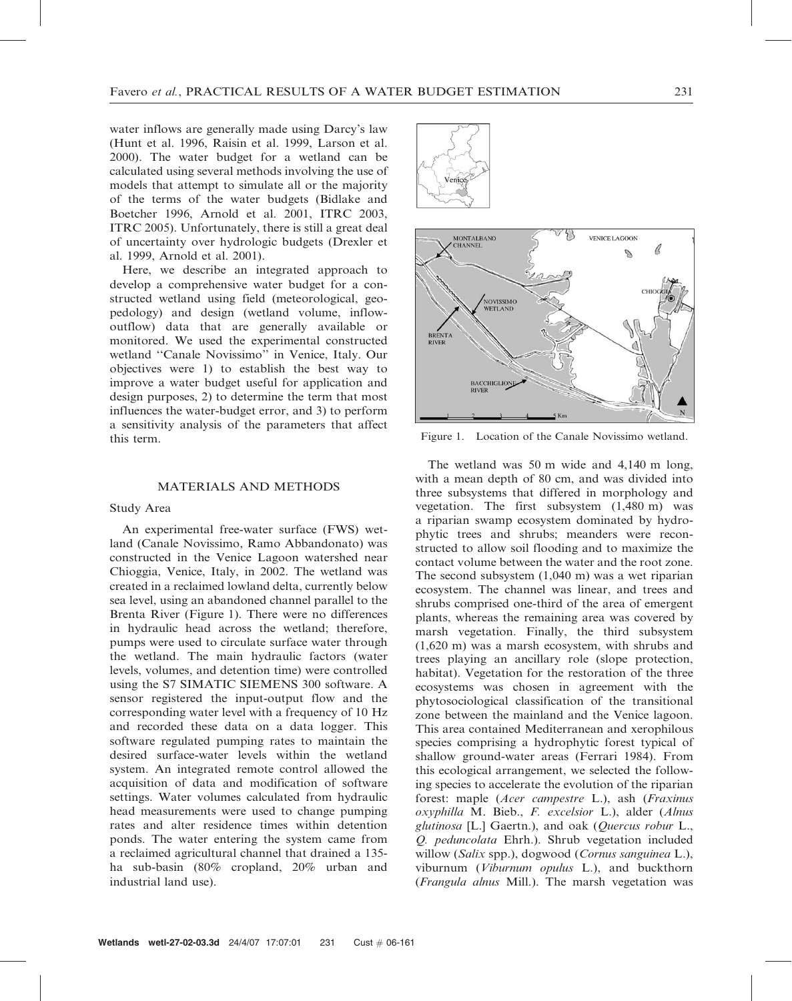water inflows are generally made using Darcy's law (Hunt et al. 1996, Raisin et al. 1999, Larson et al. 2000). The water budget for a wetland can be calculated using several methods involving the use of models that attempt to simulate all or the majority of the terms of the water budgets (Bidlake and Boetcher 1996, Arnold et al. 2001, ITRC 2003, ITRC 2005). Unfortunately, there is still a great deal of uncertainty over hydrologic budgets (Drexler et al. 1999, Arnold et al. 2001).

Here, we describe an integrated approach to develop a comprehensive water budget for a constructed wetland using field (meteorological, geopedology) and design (wetland volume, inflowoutflow) data that are generally available or monitored. We used the experimental constructed wetland ''Canale Novissimo'' in Venice, Italy. Our objectives were 1) to establish the best way to improve a water budget useful for application and design purposes, 2) to determine the term that most influences the water-budget error, and 3) to perform a sensitivity analysis of the parameters that affect this term.

# MATERIALS AND METHODS

## Study Area

An experimental free-water surface (FWS) wetland (Canale Novissimo, Ramo Abbandonato) was constructed in the Venice Lagoon watershed near Chioggia, Venice, Italy, in 2002. The wetland was created in a reclaimed lowland delta, currently below sea level, using an abandoned channel parallel to the Brenta River (Figure 1). There were no differences in hydraulic head across the wetland; therefore, pumps were used to circulate surface water through the wetland. The main hydraulic factors (water levels, volumes, and detention time) were controlled using the S7 SIMATIC SIEMENS 300 software. A sensor registered the input-output flow and the corresponding water level with a frequency of 10 Hz and recorded these data on a data logger. This software regulated pumping rates to maintain the desired surface-water levels within the wetland system. An integrated remote control allowed the acquisition of data and modification of software settings. Water volumes calculated from hydraulic head measurements were used to change pumping rates and alter residence times within detention ponds. The water entering the system came from a reclaimed agricultural channel that drained a 135 ha sub-basin (80% cropland, 20% urban and industrial land use).





Figure 1. Location of the Canale Novissimo wetland.

The wetland was 50 m wide and 4,140 m long, with a mean depth of 80 cm, and was divided into three subsystems that differed in morphology and vegetation. The first subsystem (1,480 m) was a riparian swamp ecosystem dominated by hydrophytic trees and shrubs; meanders were reconstructed to allow soil flooding and to maximize the contact volume between the water and the root zone. The second subsystem (1,040 m) was a wet riparian ecosystem. The channel was linear, and trees and shrubs comprised one-third of the area of emergent plants, whereas the remaining area was covered by marsh vegetation. Finally, the third subsystem (1,620 m) was a marsh ecosystem, with shrubs and trees playing an ancillary role (slope protection, habitat). Vegetation for the restoration of the three ecosystems was chosen in agreement with the phytosociological classification of the transitional zone between the mainland and the Venice lagoon. This area contained Mediterranean and xerophilous species comprising a hydrophytic forest typical of shallow ground-water areas (Ferrari 1984). From this ecological arrangement, we selected the following species to accelerate the evolution of the riparian forest: maple (Acer campestre L.), ash (Fraxinus oxyphilla M. Bieb., F. excelsior L.), alder (Alnus glutinosa [L.] Gaertn.), and oak (Quercus robur L., Q. peduncolata Ehrh.). Shrub vegetation included willow (Salix spp.), dogwood (Cornus sanguinea L.), viburnum (Viburnum opulus L.), and buckthorn (Frangula alnus Mill.). The marsh vegetation was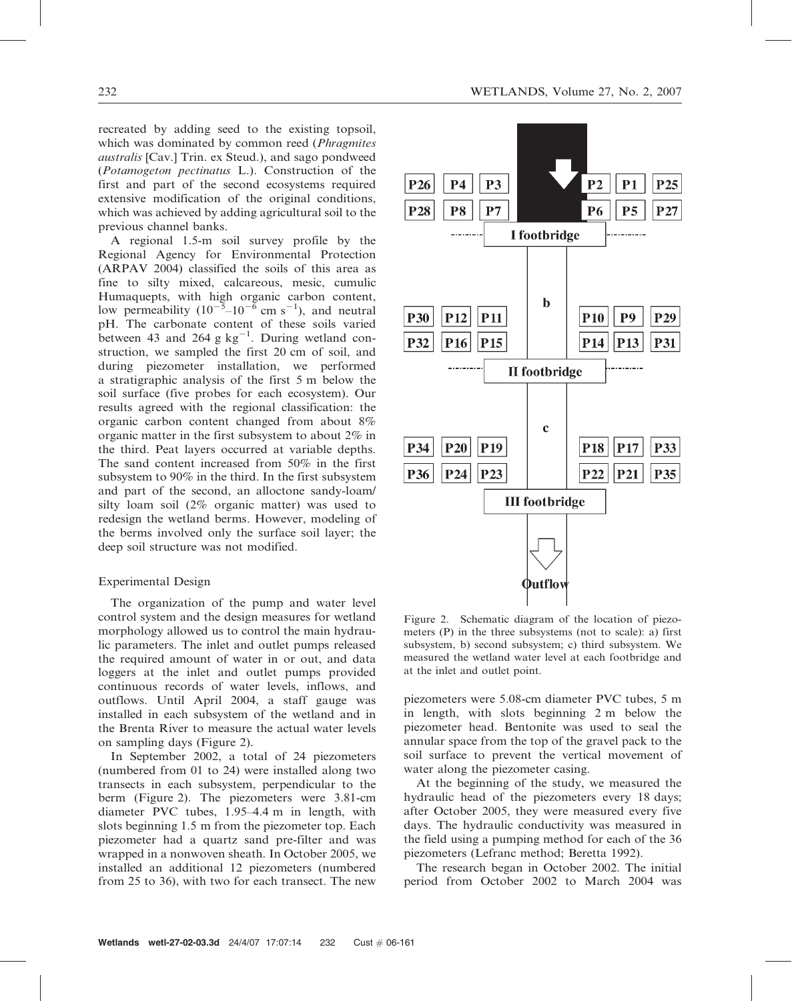recreated by adding seed to the existing topsoil, which was dominated by common reed (*Phragmites* australis [Cav.] Trin. ex Steud.), and sago pondweed (Potamogeton pectinatus L.). Construction of the first and part of the second ecosystems required extensive modification of the original conditions, which was achieved by adding agricultural soil to the previous channel banks.

A regional 1.5-m soil survey profile by the Regional Agency for Environmental Protection (ARPAV 2004) classified the soils of this area as fine to silty mixed, calcareous, mesic, cumulic Humaquepts, with high organic carbon content, low permeability  $(10^{-5}-10^{-6} \text{ cm s}^{-1})$ , and neutral pH. The carbonate content of these soils varied between 43 and 264 g  $kg^{-1}$ . During wetland construction, we sampled the first 20 cm of soil, and during piezometer installation, we performed a stratigraphic analysis of the first 5 m below the soil surface (five probes for each ecosystem). Our results agreed with the regional classification: the organic carbon content changed from about 8% organic matter in the first subsystem to about 2% in the third. Peat layers occurred at variable depths. The sand content increased from 50% in the first subsystem to 90% in the third. In the first subsystem and part of the second, an alloctone sandy-loam/ silty loam soil (2% organic matter) was used to redesign the wetland berms. However, modeling of the berms involved only the surface soil layer; the deep soil structure was not modified.

## Experimental Design

The organization of the pump and water level control system and the design measures for wetland morphology allowed us to control the main hydraulic parameters. The inlet and outlet pumps released the required amount of water in or out, and data loggers at the inlet and outlet pumps provided continuous records of water levels, inflows, and outflows. Until April 2004, a staff gauge was installed in each subsystem of the wetland and in the Brenta River to measure the actual water levels on sampling days (Figure 2).

In September 2002, a total of 24 piezometers (numbered from 01 to 24) were installed along two transects in each subsystem, perpendicular to the berm (Figure 2). The piezometers were 3.81-cm diameter PVC tubes, 1.95–4.4 m in length, with slots beginning 1.5 m from the piezometer top. Each piezometer had a quartz sand pre-filter and was wrapped in a nonwoven sheath. In October 2005, we installed an additional 12 piezometers (numbered from 25 to 36), with two for each transect. The new



Figure 2. Schematic diagram of the location of piezometers (P) in the three subsystems (not to scale): a) first subsystem, b) second subsystem; c) third subsystem. We measured the wetland water level at each footbridge and at the inlet and outlet point.

piezometers were 5.08-cm diameter PVC tubes, 5 m in length, with slots beginning 2 m below the piezometer head. Bentonite was used to seal the annular space from the top of the gravel pack to the soil surface to prevent the vertical movement of water along the piezometer casing.

At the beginning of the study, we measured the hydraulic head of the piezometers every 18 days; after October 2005, they were measured every five days. The hydraulic conductivity was measured in the field using a pumping method for each of the 36 piezometers (Lefranc method; Beretta 1992).

The research began in October 2002. The initial period from October 2002 to March 2004 was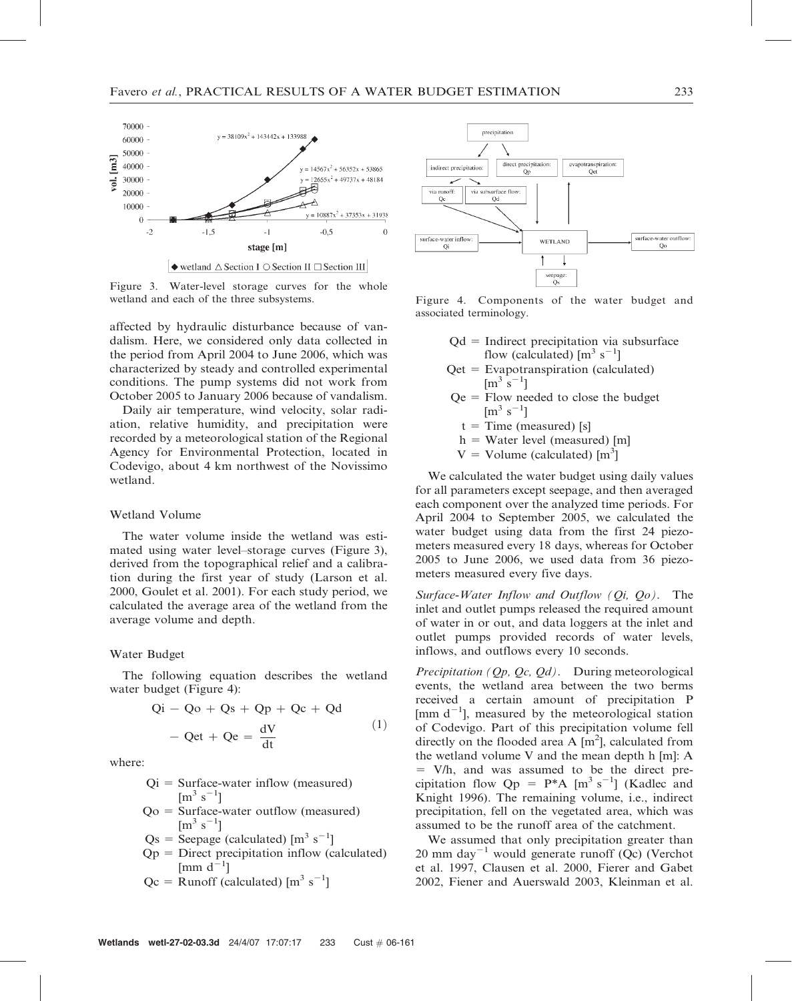

Figure 3. Water-level storage curves for the whole wetland and each of the three subsystems. Figure 4. Components of the water budget and

affected by hydraulic disturbance because of vandalism. Here, we considered only data collected in the period from April 2004 to June 2006, which was characterized by steady and controlled experimental conditions. The pump systems did not work from October 2005 to January 2006 because of vandalism.

Daily air temperature, wind velocity, solar radiation, relative humidity, and precipitation were recorded by a meteorological station of the Regional Agency for Environmental Protection, located in Codevigo, about 4 km northwest of the Novissimo wetland.

# Wetland Volume

The water volume inside the wetland was estimated using water level–storage curves (Figure 3), derived from the topographical relief and a calibration during the first year of study (Larson et al. 2000, Goulet et al. 2001). For each study period, we calculated the average area of the wetland from the average volume and depth.

# Water Budget

The following equation describes the wetland water budget (Figure 4):

$$
Qi - Qo + Qs + Qp + Qc + Qd
$$

$$
- Qet + Qe = \frac{dV}{dt}
$$
(1)

where:

- $Qi = Surface-water inflow (measured)$  $\left[\text{m}^3 \text{ s}^{-1}\right]$
- $Qo = Surface-water outflow (measured)$  $\left[\text{m}^3 \text{ s}^{-1}\right]$
- $\text{Qs} = \text{Sequence}$  (calculated)  $\text{[m}^3 \text{ s}^{-1}\text{]}$
- $Qp$  = Direct precipitation inflow (calculated) [mm  $d^{-1}$ ]
- $Qc =$  Runoff (calculated)  $[m^3 s^{-1}]$



associated terminology.

- $Qd$  = Indirect precipitation via subsurface flow (calculated)  $\left[\text{m}^3 \text{ s}^{-1}\right]$
- $Qet = Evapotranspiration (calculated)$  $\left[\text{m}^3 \text{ s}^{-1}\right]$
- $Qe =$  Flow needed to close the budget  $\left[\text{m}^3 \text{ s}^{-1}\right]$ 
	- $t =$ Time (measured) [s]
- $h =$  Water level (measured) [m]
- $V =$  Volume (calculated)  $[m<sup>3</sup>]$

We calculated the water budget using daily values for all parameters except seepage, and then averaged each component over the analyzed time periods. For April 2004 to September 2005, we calculated the water budget using data from the first 24 piezometers measured every 18 days, whereas for October 2005 to June 2006, we used data from 36 piezometers measured every five days.

Surface-Water Inflow and Outflow (Qi, Qo). The inlet and outlet pumps released the required amount of water in or out, and data loggers at the inlet and outlet pumps provided records of water levels, inflows, and outflows every 10 seconds.

Precipitation (Qp, Qc, Qd). During meteorological events, the wetland area between the two berms received a certain amount of precipitation P [mm  $d^{-1}$ ], measured by the meteorological station of Codevigo. Part of this precipitation volume fell directly on the flooded area A  $\text{[m}^2\text{]}$ , calculated from the wetland volume V and the mean depth h [m]: A  $=$  V/h, and was assumed to be the direct precipitation flow  $Qp = P^*A$  [m<sup>3</sup> s<sup>-1</sup>] (Kadlec and Knight 1996). The remaining volume, i.e., indirect precipitation, fell on the vegetated area, which was assumed to be the runoff area of the catchment.

We assumed that only precipitation greater than 20 mm day<sup> $-1$ </sup> would generate runoff (Qc) (Verchot et al. 1997, Clausen et al. 2000, Fierer and Gabet 2002, Fiener and Auerswald 2003, Kleinman et al.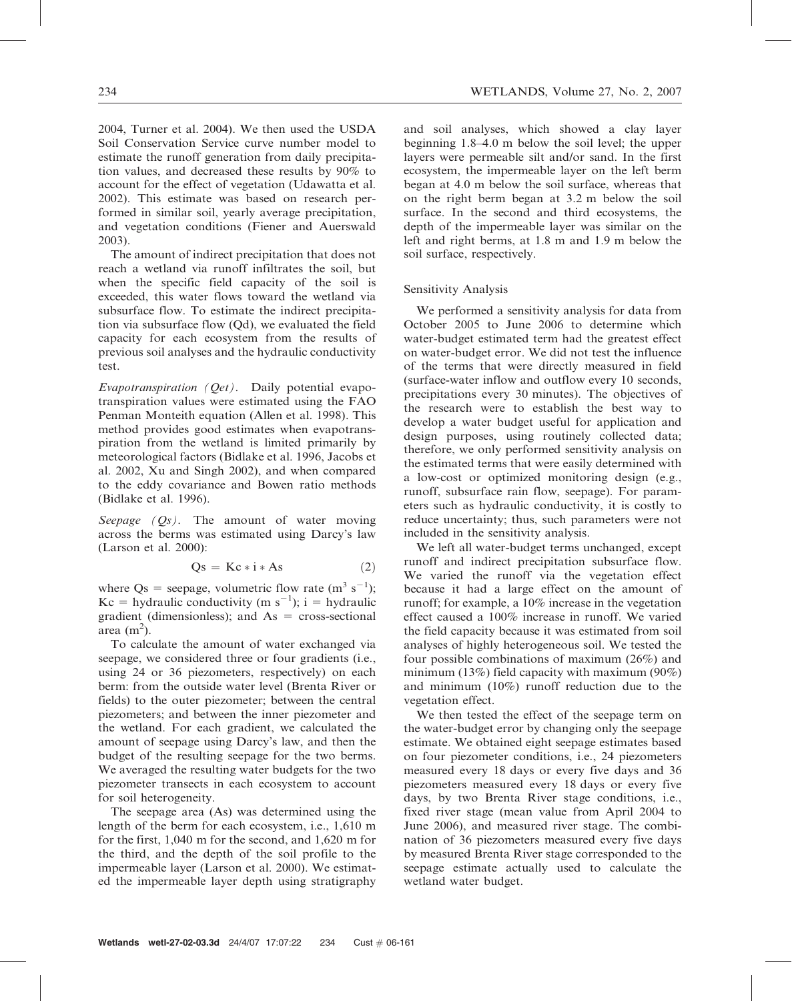2004, Turner et al. 2004). We then used the USDA Soil Conservation Service curve number model to estimate the runoff generation from daily precipitation values, and decreased these results by 90% to account for the effect of vegetation (Udawatta et al. 2002). This estimate was based on research performed in similar soil, yearly average precipitation, and vegetation conditions (Fiener and Auerswald 2003).

The amount of indirect precipitation that does not reach a wetland via runoff infiltrates the soil, but when the specific field capacity of the soil is exceeded, this water flows toward the wetland via subsurface flow. To estimate the indirect precipitation via subsurface flow (Qd), we evaluated the field capacity for each ecosystem from the results of previous soil analyses and the hydraulic conductivity test.

Evapotranspiration (Qet). Daily potential evapotranspiration values were estimated using the FAO Penman Monteith equation (Allen et al. 1998). This method provides good estimates when evapotranspiration from the wetland is limited primarily by meteorological factors (Bidlake et al. 1996, Jacobs et al. 2002, Xu and Singh 2002), and when compared to the eddy covariance and Bowen ratio methods (Bidlake et al. 1996).

Seepage  $(Qs)$ . The amount of water moving across the berms was estimated using Darcy's law (Larson et al. 2000):

$$
Qs = Kc * i * As \qquad (2)
$$

where  $Q_s$  = seepage, volumetric flow rate (m<sup>3</sup> s<sup>-1</sup>);  $Kc =$  hydraulic conductivity (m s<sup>-1</sup>); i = hydraulic gradient (dimensionless); and  $As = cross-sectional$  $area (m<sup>2</sup>)$ .

To calculate the amount of water exchanged via seepage, we considered three or four gradients (i.e., using 24 or 36 piezometers, respectively) on each berm: from the outside water level (Brenta River or fields) to the outer piezometer; between the central piezometers; and between the inner piezometer and the wetland. For each gradient, we calculated the amount of seepage using Darcy's law, and then the budget of the resulting seepage for the two berms. We averaged the resulting water budgets for the two piezometer transects in each ecosystem to account for soil heterogeneity.

The seepage area (As) was determined using the length of the berm for each ecosystem, i.e., 1,610 m for the first, 1,040 m for the second, and 1,620 m for the third, and the depth of the soil profile to the impermeable layer (Larson et al. 2000). We estimated the impermeable layer depth using stratigraphy

and soil analyses, which showed a clay layer beginning 1.8–4.0 m below the soil level; the upper layers were permeable silt and/or sand. In the first ecosystem, the impermeable layer on the left berm began at 4.0 m below the soil surface, whereas that on the right berm began at 3.2 m below the soil surface. In the second and third ecosystems, the depth of the impermeable layer was similar on the left and right berms, at 1.8 m and 1.9 m below the soil surface, respectively.

#### Sensitivity Analysis

We performed a sensitivity analysis for data from October 2005 to June 2006 to determine which water-budget estimated term had the greatest effect on water-budget error. We did not test the influence of the terms that were directly measured in field (surface-water inflow and outflow every 10 seconds, precipitations every 30 minutes). The objectives of the research were to establish the best way to develop a water budget useful for application and design purposes, using routinely collected data; therefore, we only performed sensitivity analysis on the estimated terms that were easily determined with a low-cost or optimized monitoring design (e.g., runoff, subsurface rain flow, seepage). For parameters such as hydraulic conductivity, it is costly to reduce uncertainty; thus, such parameters were not included in the sensitivity analysis.

We left all water-budget terms unchanged, except runoff and indirect precipitation subsurface flow. We varied the runoff via the vegetation effect because it had a large effect on the amount of runoff; for example, a 10% increase in the vegetation effect caused a 100% increase in runoff. We varied the field capacity because it was estimated from soil analyses of highly heterogeneous soil. We tested the four possible combinations of maximum (26%) and minimum (13%) field capacity with maximum (90%) and minimum (10%) runoff reduction due to the vegetation effect.

We then tested the effect of the seepage term on the water-budget error by changing only the seepage estimate. We obtained eight seepage estimates based on four piezometer conditions, i.e., 24 piezometers measured every 18 days or every five days and 36 piezometers measured every 18 days or every five days, by two Brenta River stage conditions, i.e., fixed river stage (mean value from April 2004 to June 2006), and measured river stage. The combination of 36 piezometers measured every five days by measured Brenta River stage corresponded to the seepage estimate actually used to calculate the wetland water budget.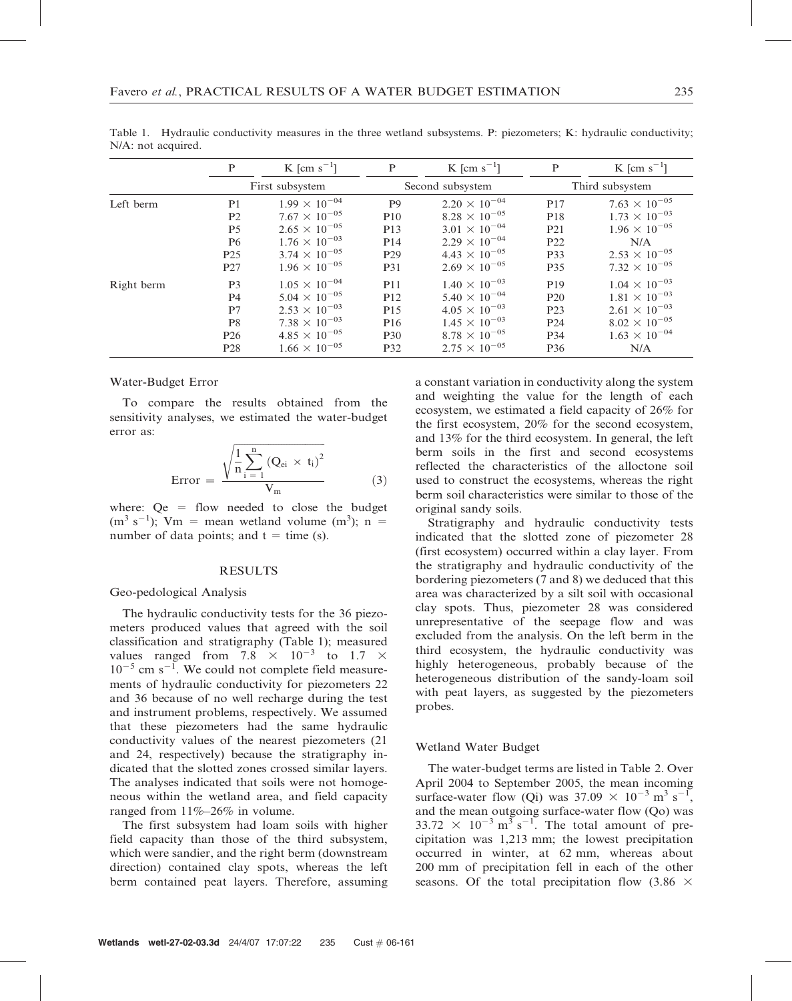|            | P               | K [cm $s^{-1}$ ]                | P               | K [cm $s^{-1}$ ]       | P                | K [cm $s^{-1}$ ]                |  |  |
|------------|-----------------|---------------------------------|-----------------|------------------------|------------------|---------------------------------|--|--|
|            |                 | First subsystem                 |                 | Second subsystem       |                  | Third subsystem                 |  |  |
| Left berm  | P <sub>1</sub>  | $1.99 \times 10^{-04}$          | P <sub>9</sub>  | $2.20 \times 10^{-04}$ | P <sub>17</sub>  | 7.63 $\times$ 10 <sup>-05</sup> |  |  |
|            | P <sub>2</sub>  | $7.67 \times 10^{-05}$          | P10             | $8.28 \times 10^{-05}$ | P18              | $1.73 \times 10^{-03}$          |  |  |
|            | P <sub>5</sub>  | $2.65 \times 10^{-05}$          | P <sub>13</sub> | $3.01 \times 10^{-04}$ | P <sub>21</sub>  | $1.96 \times 10^{-05}$          |  |  |
|            | P <sub>6</sub>  | $1.76 \times 10^{-03}$          | P14             | $2.29 \times 10^{-04}$ | P <sub>22</sub>  | N/A                             |  |  |
|            | P <sub>25</sub> | $3.74 \times 10^{-05}$          | P <sub>29</sub> | $4.43 \times 10^{-05}$ | <b>P33</b>       | $2.53 \times 10^{-05}$          |  |  |
|            | P27             | $1.96 \times 10^{-05}$          | P31             | $2.69 \times 10^{-05}$ | <b>P35</b>       | 7.32 $\times$ 10 <sup>-05</sup> |  |  |
| Right berm | P <sub>3</sub>  | $1.05 \times 10^{-04}$          | P11             | $1.40 \times 10^{-03}$ | P <sub>19</sub>  | $1.04 \times 10^{-03}$          |  |  |
|            | P <sub>4</sub>  | $5.04 \times 10^{-05}$          | P <sub>12</sub> | $5.40 \times 10^{-04}$ | P <sub>20</sub>  | $1.81 \times 10^{-03}$          |  |  |
|            | P7              | $2.53 \times 10^{-03}$          | P <sub>15</sub> | $4.05 \times 10^{-03}$ | P <sub>2</sub> 3 | $2.61 \times 10^{-03}$          |  |  |
|            | P <sub>8</sub>  | 7.38 $\times$ 10 <sup>-03</sup> | P <sub>16</sub> | $1.45 \times 10^{-03}$ | P <sub>24</sub>  | $8.02 \times 10^{-05}$          |  |  |
|            | P <sub>26</sub> | $4.85 \times 10^{-05}$          | P30             | $8.78 \times 10^{-05}$ | P34              | $1.63 \times 10^{-04}$          |  |  |
|            | P <sub>28</sub> | $1.66 \times 10^{-05}$          | P32             | $2.75 \times 10^{-05}$ | P36              | N/A                             |  |  |

Table 1. Hydraulic conductivity measures in the three wetland subsystems. P: piezometers; K: hydraulic conductivity; N/A: not acquired.

#### Water-Budget Error

To compare the results obtained from the sensitivity analyses, we estimated the water-budget error as:

$$
Error = \frac{\sqrt{\frac{1}{n}\sum\limits_{i=1}^{n}\left(Q_{ei}\,\times\,t_{i}\right)^{2}}}{V_{m}}\qquad \qquad (3)
$$

where:  $\text{Oe}$  = flow needed to close the budget  $(m<sup>3</sup> s<sup>-1</sup>)$ ; Vm = mean wetland volume  $(m<sup>3</sup>)$ ; n = number of data points; and  $t =$  time (s).

#### RESULTS

## Geo-pedological Analysis

The hydraulic conductivity tests for the 36 piezometers produced values that agreed with the soil classification and stratigraphy (Table 1); measured values ranged from 7.8  $\times$  10<sup>-3</sup> to 1.7  $\times$  $10^{-5}$  cm s<sup>-1</sup>. We could not complete field measurements of hydraulic conductivity for piezometers 22 and 36 because of no well recharge during the test and instrument problems, respectively. We assumed that these piezometers had the same hydraulic conductivity values of the nearest piezometers (21 and 24, respectively) because the stratigraphy indicated that the slotted zones crossed similar layers. The analyses indicated that soils were not homogeneous within the wetland area, and field capacity ranged from  $11\% - 26\%$  in volume.

The first subsystem had loam soils with higher field capacity than those of the third subsystem, which were sandier, and the right berm (downstream direction) contained clay spots, whereas the left berm contained peat layers. Therefore, assuming a constant variation in conductivity along the system and weighting the value for the length of each ecosystem, we estimated a field capacity of 26% for the first ecosystem, 20% for the second ecosystem, and 13% for the third ecosystem. In general, the left berm soils in the first and second ecosystems reflected the characteristics of the alloctone soil used to construct the ecosystems, whereas the right berm soil characteristics were similar to those of the original sandy soils.

Stratigraphy and hydraulic conductivity tests indicated that the slotted zone of piezometer 28 (first ecosystem) occurred within a clay layer. From the stratigraphy and hydraulic conductivity of the bordering piezometers (7 and 8) we deduced that this area was characterized by a silt soil with occasional clay spots. Thus, piezometer 28 was considered unrepresentative of the seepage flow and was excluded from the analysis. On the left berm in the third ecosystem, the hydraulic conductivity was highly heterogeneous, probably because of the heterogeneous distribution of the sandy-loam soil with peat layers, as suggested by the piezometers probes.

#### Wetland Water Budget

The water-budget terms are listed in Table 2. Over April 2004 to September 2005, the mean incoming surface-water flow (Qi) was  $37.09 \times 10^{-3}$  m<sup>3</sup> s<sup>-1</sup>, and the mean outgoing surface-water flow (Qo) was  $33.72 \times 10^{-3}$  m<sup>3</sup> s<sup>-1</sup>. The total amount of precipitation was 1,213 mm; the lowest precipitation occurred in winter, at 62 mm, whereas about 200 mm of precipitation fell in each of the other seasons. Of the total precipitation flow (3.86  $\times$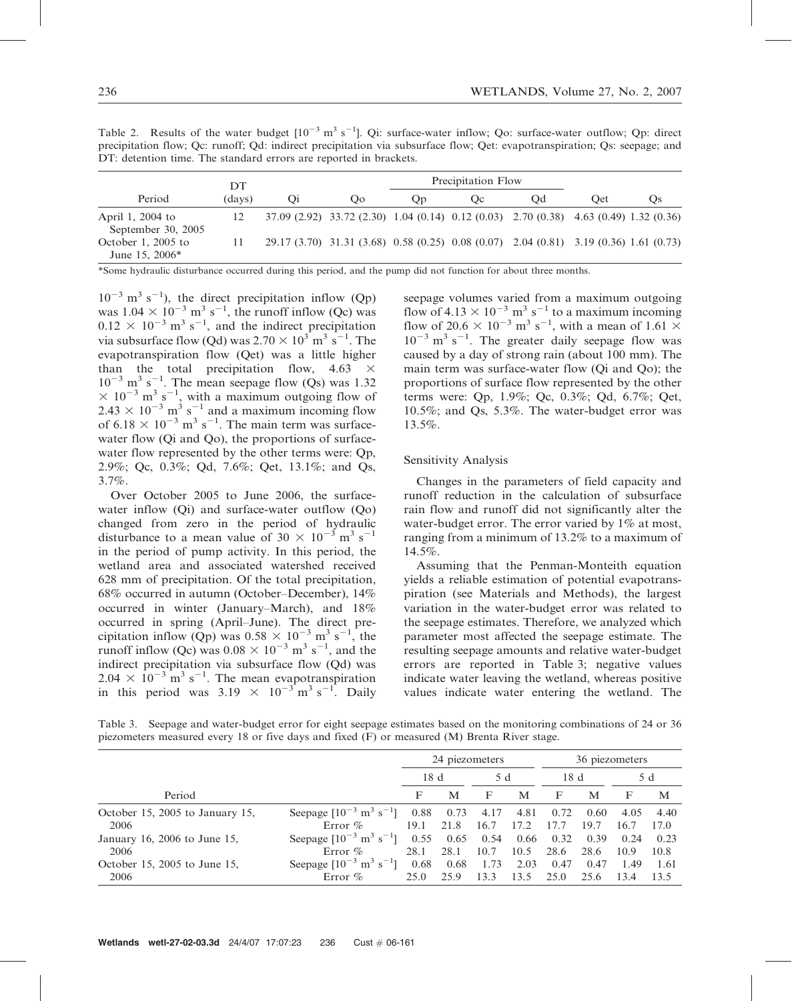|                                        | DТ     | Precipitation Flow                                                                    |                                                                                       |           |    |    |     |     |  |
|----------------------------------------|--------|---------------------------------------------------------------------------------------|---------------------------------------------------------------------------------------|-----------|----|----|-----|-----|--|
| Period                                 | (days) | Oi                                                                                    | Oo.                                                                                   | <b>Op</b> | Oc | Od | Oet | Os. |  |
| April 1, 2004 to<br>September 30, 2005 | 12     |                                                                                       | 37.09 (2.92) 33.72 (2.30) 1.04 (0.14) 0.12 (0.03) 2.70 (0.38) 4.63 (0.49) 1.32 (0.36) |           |    |    |     |     |  |
| October 1, 2005 to<br>June 15, 2006*   |        | 29.17 (3.70) 31.31 (3.68) 0.58 (0.25) 0.08 (0.07) 2.04 (0.81) 3.19 (0.36) 1.61 (0.73) |                                                                                       |           |    |    |     |     |  |

Table 2. Results of the water budget  $[10^{-3} \text{ m}^3 \text{ s}^{-1}]$ . Qi: surface-water inflow; Qo: surface-water outflow; Qp: direct precipitation flow; Qc: runoff; Qd: indirect precipitation via subsurface flow; Qet: evapotranspiration; Qs: seepage; and DT: detention time. The standard errors are reported in brackets.

\*Some hydraulic disturbance occurred during this period, and the pump did not function for about three months.

 $10^{-3}$  m<sup>3</sup> s<sup>-1</sup>), the direct precipitation inflow (Qp) was  $1.04 \times 10^{-3}$  m<sup>3</sup> s<sup>-1</sup>, the runoff inflow (Qc) was  $0.12 \times 10^{-3}$  m<sup>3</sup> s<sup>-1</sup>, and the indirect precipitation via subsurface flow (Qd) was  $2.70 \times 10^3$  m<sup>3</sup> s<sup>-1</sup>. The evapotranspiration flow (Qet) was a little higher than the total precipitation flow,  $4.63 \times$  $10^{-3}$  m<sup>3</sup> s<sup>-1</sup>. The mean seepage flow (Qs) was 1.32  $\times$  10<sup>-3</sup> m<sup>3</sup> s<sup>-1</sup>, with a maximum outgoing flow of  $2.43 \times 10^{-3}$  m<sup>3</sup> s<sup>-1</sup> and a maximum incoming flow of  $6.18 \times 10^{-3}$  m<sup>3</sup> s<sup>-1</sup>. The main term was surfacewater flow (Qi and Qo), the proportions of surfacewater flow represented by the other terms were: Qp, 2.9%; Qc, 0.3%; Qd, 7.6%; Qet, 13.1%; and Qs, 3.7%.

Over October 2005 to June 2006, the surfacewater inflow (Qi) and surface-water outflow (Qo) changed from zero in the period of hydraulic disturbance to a mean value of  $30 \times 10^{-3}$  m<sup>3</sup> s<sup>-1</sup> in the period of pump activity. In this period, the wetland area and associated watershed received 628 mm of precipitation. Of the total precipitation, 68% occurred in autumn (October–December), 14% occurred in winter (January–March), and 18% occurred in spring (April–June). The direct precipitation inflow (Qp) was  $0.58 \times 10^{-3}$  m<sup>3</sup> s<sup>-1</sup>, the runoff inflow (Qc) was  $0.08 \times 10^{-3}$  m<sup>3</sup> s<sup>-1</sup>, and the indirect precipitation via subsurface flow (Qd) was  $2.04 \times 10^{-3}$  m<sup>3</sup> s<sup>-1</sup>. The mean evapotranspiration in this period was  $3.19 \times 10^{-3}$  m<sup>3</sup> s<sup>-1</sup>. Daily

seepage volumes varied from a maximum outgoing flow of  $4.13 \times 10^{-3}$  m<sup>3</sup> s<sup>-1</sup> to a maximum incoming flow of 20.6  $\times$  10<sup>-3</sup> m<sup>3</sup> s<sup>-1</sup>, with a mean of 1.61  $\times$  $10^{-3}$  m<sup>3</sup> s<sup>-1</sup>. The greater daily seepage flow was caused by a day of strong rain (about 100 mm). The main term was surface-water flow (Qi and Qo); the proportions of surface flow represented by the other terms were: Qp, 1.9%; Qc, 0.3%; Qd, 6.7%; Qet, 10.5%; and Qs, 5.3%. The water-budget error was 13.5%.

## Sensitivity Analysis

Changes in the parameters of field capacity and runoff reduction in the calculation of subsurface rain flow and runoff did not significantly alter the water-budget error. The error varied by 1% at most, ranging from a minimum of 13.2% to a maximum of 14.5%.

Assuming that the Penman-Monteith equation yields a reliable estimation of potential evapotranspiration (see Materials and Methods), the largest variation in the water-budget error was related to the seepage estimates. Therefore, we analyzed which parameter most affected the seepage estimate. The resulting seepage amounts and relative water-budget errors are reported in Table 3; negative values indicate water leaving the wetland, whereas positive values indicate water entering the wetland. The

Table 3. Seepage and water-budget error for eight seepage estimates based on the monitoring combinations of 24 or 36 piezometers measured every 18 or five days and fixed (F) or measured (M) Brenta River stage.

|                                 |                                                | 24 piezometers |      |      |      | 36 piezometers |      |      |        |
|---------------------------------|------------------------------------------------|----------------|------|------|------|----------------|------|------|--------|
|                                 |                                                | 18 d           |      | 5 d  |      | 18 d           |      |      | 5 d    |
| Period                          |                                                | F              | M    | F    | M    | F              | M    | F    | M      |
| October 15, 2005 to January 15, | Seepage $[10^{-3} \text{ m}^3 \text{ s}^{-1}]$ | 0.88           | 0.73 | 4.17 | 4.81 | 0.72           | 0.60 | 4.05 | -4.40  |
| 2006                            | Error $\%$                                     | 19.1           | 21.8 | 16.7 | 17.2 | 17.7           | 19.7 | 16.7 | 17.0   |
| January 16, 2006 to June 15,    | Seepage $[10^{-3} \text{ m}^3 \text{ s}^{-1}]$ | 0.55           | 0.65 | 0.54 | 0.66 | 0.32           | 0.39 | 0.24 | 0.23   |
| 2006                            | Error $\%$                                     | 28.1           | 28.1 | 10.7 | 10.5 | 28.6           | 28.6 | 10.9 | 10.8   |
| October 15, 2005 to June 15,    | Seepage $[10^{-3} \text{ m}^3 \text{ s}^{-1}]$ | 0.68           | 0.68 | 1.73 | 2.03 | 0.47           | 0.47 | 1.49 | - 1.61 |
| 2006                            | Error $\%$                                     | 25.0           | 25.9 | 13.3 | 13.5 | 25.0           | 25.6 | 13.4 | -13.5  |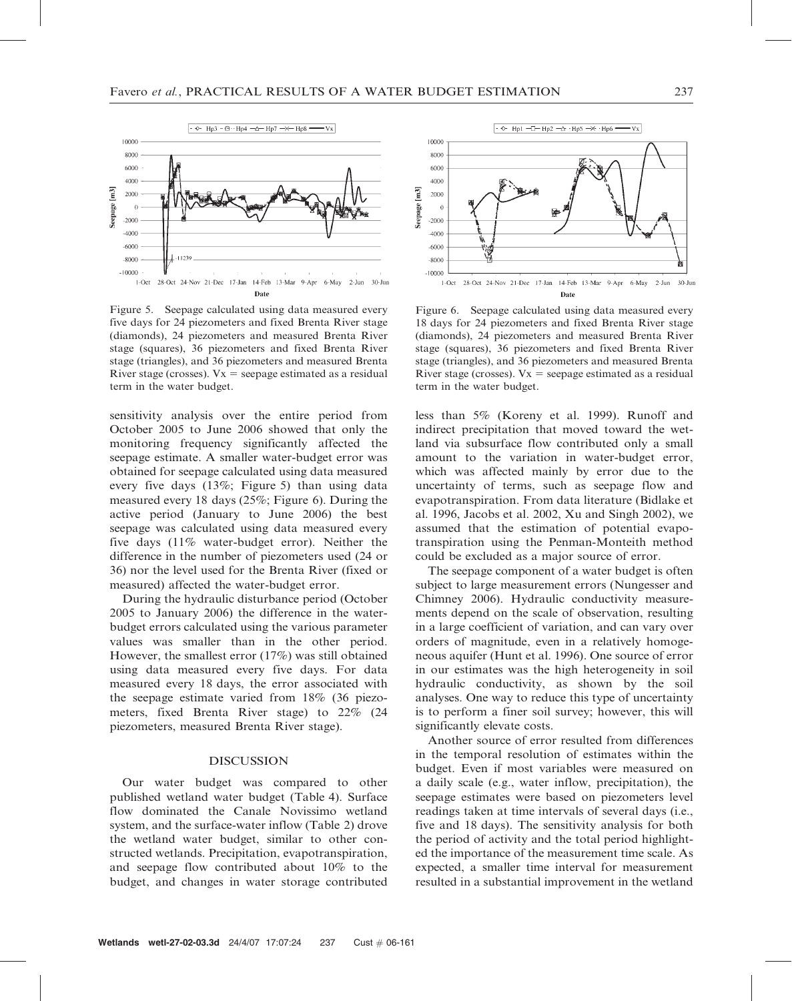

Figure 5. Seepage calculated using data measured every five days for 24 piezometers and fixed Brenta River stage (diamonds), 24 piezometers and measured Brenta River stage (squares), 36 piezometers and fixed Brenta River stage (triangles), and 36 piezometers and measured Brenta River stage (crosses).  $Vx$  = seepage estimated as a residual term in the water budget.

sensitivity analysis over the entire period from October 2005 to June 2006 showed that only the monitoring frequency significantly affected the seepage estimate. A smaller water-budget error was obtained for seepage calculated using data measured every five days (13%; Figure 5) than using data measured every 18 days (25%; Figure 6). During the active period (January to June 2006) the best seepage was calculated using data measured every five days (11% water-budget error). Neither the difference in the number of piezometers used (24 or 36) nor the level used for the Brenta River (fixed or measured) affected the water-budget error.

During the hydraulic disturbance period (October 2005 to January 2006) the difference in the waterbudget errors calculated using the various parameter values was smaller than in the other period. However, the smallest error (17%) was still obtained using data measured every five days. For data measured every 18 days, the error associated with the seepage estimate varied from 18% (36 piezometers, fixed Brenta River stage) to 22% (24 piezometers, measured Brenta River stage).

## DISCUSSION

Our water budget was compared to other published wetland water budget (Table 4). Surface flow dominated the Canale Novissimo wetland system, and the surface-water inflow (Table 2) drove the wetland water budget, similar to other constructed wetlands. Precipitation, evapotranspiration, and seepage flow contributed about 10% to the budget, and changes in water storage contributed



Figure 6. Seepage calculated using data measured every 18 days for 24 piezometers and fixed Brenta River stage (diamonds), 24 piezometers and measured Brenta River stage (squares), 36 piezometers and fixed Brenta River stage (triangles), and 36 piezometers and measured Brenta River stage (crosses).  $Vx$  = seepage estimated as a residual term in the water budget.

less than 5% (Koreny et al. 1999). Runoff and indirect precipitation that moved toward the wetland via subsurface flow contributed only a small amount to the variation in water-budget error, which was affected mainly by error due to the uncertainty of terms, such as seepage flow and evapotranspiration. From data literature (Bidlake et al. 1996, Jacobs et al. 2002, Xu and Singh 2002), we assumed that the estimation of potential evapotranspiration using the Penman-Monteith method could be excluded as a major source of error.

The seepage component of a water budget is often subject to large measurement errors (Nungesser and Chimney 2006). Hydraulic conductivity measurements depend on the scale of observation, resulting in a large coefficient of variation, and can vary over orders of magnitude, even in a relatively homogeneous aquifer (Hunt et al. 1996). One source of error in our estimates was the high heterogeneity in soil hydraulic conductivity, as shown by the soil analyses. One way to reduce this type of uncertainty is to perform a finer soil survey; however, this will significantly elevate costs.

Another source of error resulted from differences in the temporal resolution of estimates within the budget. Even if most variables were measured on a daily scale (e.g., water inflow, precipitation), the seepage estimates were based on piezometers level readings taken at time intervals of several days (i.e., five and 18 days). The sensitivity analysis for both the period of activity and the total period highlighted the importance of the measurement time scale. As expected, a smaller time interval for measurement resulted in a substantial improvement in the wetland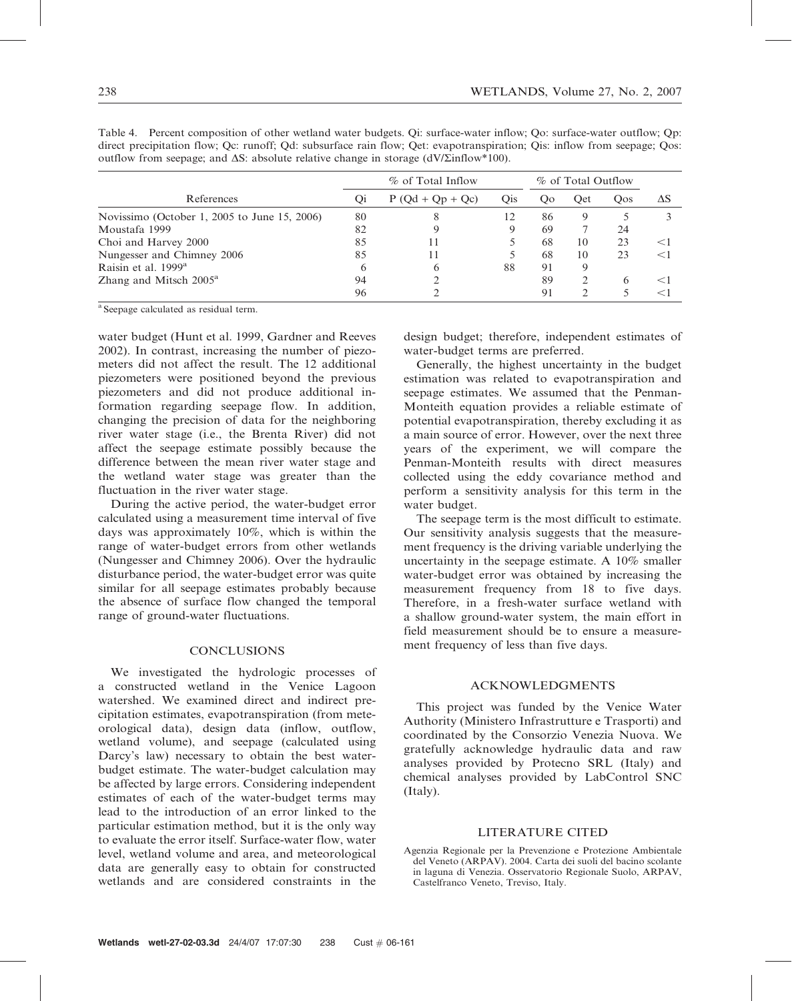Table 4. Percent composition of other wetland water budgets. Qi: surface-water inflow; Qo: surface-water outflow; Qp: direct precipitation flow; Qc: runoff; Qd: subsurface rain flow; Qet: evapotranspiration; Qis: inflow from seepage; Qos: outflow from seepage; and  $\Delta S$ : absolute relative change in storage (dV/ $\Sigma$ inflow\*100).

|                                              |    | % of Total Inflow  | % of Total Outflow |            |     |            |       |
|----------------------------------------------|----|--------------------|--------------------|------------|-----|------------|-------|
| References                                   |    | $P (Od + Op + Oc)$ | Ois                | <b>O</b> o | Oet | <b>Oos</b> | ΔS    |
| Novissimo (October 1, 2005 to June 15, 2006) | 80 |                    | 12                 | 86         | 9   |            |       |
| Moustafa 1999                                | 82 |                    |                    | 69         |     | 24         |       |
| Choi and Harvey 2000                         | 85 |                    |                    | 68         | 10  | 23         |       |
| Nungesser and Chimney 2006                   | 85 |                    |                    | 68         | 10  | 23         | $<$ 1 |
| Raisin et al. 1999 <sup>a</sup>              | 6  |                    | 88                 | 91         | 9   |            |       |
| Zhang and Mitsch $2005^a$                    | 94 |                    |                    | 89         |     | 6          | $<$ 1 |
|                                              | 96 |                    |                    | 91         |     |            |       |

<sup>a</sup> Seepage calculated as residual term.

water budget (Hunt et al. 1999, Gardner and Reeves 2002). In contrast, increasing the number of piezometers did not affect the result. The 12 additional piezometers were positioned beyond the previous piezometers and did not produce additional information regarding seepage flow. In addition, changing the precision of data for the neighboring river water stage (i.e., the Brenta River) did not affect the seepage estimate possibly because the difference between the mean river water stage and the wetland water stage was greater than the fluctuation in the river water stage.

During the active period, the water-budget error calculated using a measurement time interval of five days was approximately 10%, which is within the range of water-budget errors from other wetlands (Nungesser and Chimney 2006). Over the hydraulic disturbance period, the water-budget error was quite similar for all seepage estimates probably because the absence of surface flow changed the temporal range of ground-water fluctuations.

#### **CONCLUSIONS**

We investigated the hydrologic processes of a constructed wetland in the Venice Lagoon watershed. We examined direct and indirect precipitation estimates, evapotranspiration (from meteorological data), design data (inflow, outflow, wetland volume), and seepage (calculated using Darcy's law) necessary to obtain the best waterbudget estimate. The water-budget calculation may be affected by large errors. Considering independent estimates of each of the water-budget terms may lead to the introduction of an error linked to the particular estimation method, but it is the only way to evaluate the error itself. Surface-water flow, water level, wetland volume and area, and meteorological data are generally easy to obtain for constructed wetlands and are considered constraints in the design budget; therefore, independent estimates of water-budget terms are preferred.

Generally, the highest uncertainty in the budget estimation was related to evapotranspiration and seepage estimates. We assumed that the Penman-Monteith equation provides a reliable estimate of potential evapotranspiration, thereby excluding it as a main source of error. However, over the next three years of the experiment, we will compare the Penman-Monteith results with direct measures collected using the eddy covariance method and perform a sensitivity analysis for this term in the water budget.

The seepage term is the most difficult to estimate. Our sensitivity analysis suggests that the measurement frequency is the driving variable underlying the uncertainty in the seepage estimate. A 10% smaller water-budget error was obtained by increasing the measurement frequency from 18 to five days. Therefore, in a fresh-water surface wetland with a shallow ground-water system, the main effort in field measurement should be to ensure a measurement frequency of less than five days.

#### ACKNOWLEDGMENTS

This project was funded by the Venice Water Authority (Ministero Infrastrutture e Trasporti) and coordinated by the Consorzio Venezia Nuova. We gratefully acknowledge hydraulic data and raw analyses provided by Protecno SRL (Italy) and chemical analyses provided by LabControl SNC (Italy).

#### LITERATURE CITED

Agenzia Regionale per la Prevenzione e Protezione Ambientale del Veneto (ARPAV). 2004. Carta dei suoli del bacino scolante in laguna di Venezia. Osservatorio Regionale Suolo, ARPAV, Castelfranco Veneto, Treviso, Italy.